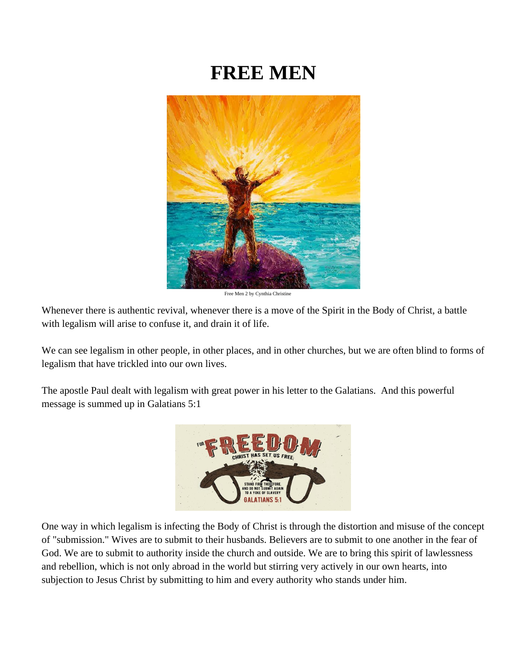# **FREE MEN**



Free Men 2 by Cynthia Christine

Whenever there is authentic revival, whenever there is a move of the Spirit in the Body of Christ, a battle with legalism will arise to confuse it, and drain it of life.

We can see legalism in other people, in other places, and in other churches, but we are often blind to forms of legalism that have trickled into our own lives.

The apostle Paul dealt with legalism with great power in his letter to the Galatians. And this powerful message is summed up in Galatians 5:1



One way in which legalism is infecting the Body of Christ is through the distortion and misuse of the concept of "submission." Wives are to submit to their husbands. Believers are to submit to one another in the fear of God. We are to submit to authority inside the church and outside. We are to bring this spirit of lawlessness and rebellion, which is not only abroad in the world but stirring very actively in our own hearts, into subjection to Jesus Christ by submitting to him and every authority who stands under him.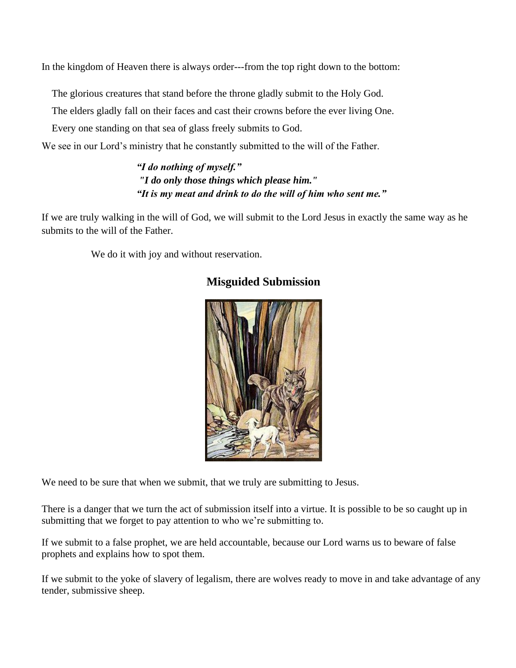In the kingdom of Heaven there is always order---from the top right down to the bottom:

The glorious creatures that stand before the throne gladly submit to the Holy God.

The elders gladly fall on their faces and cast their crowns before the ever living One.

Every one standing on that sea of glass freely submits to God.

We see in our Lord's ministry that he constantly submitted to the will of the Father.

*"I do nothing of myself." "I do only those things which please him." "It is my meat and drink to do the will of him who sent me."*

If we are truly walking in the will of God, we will submit to the Lord Jesus in exactly the same way as he submits to the will of the Father.

We do it with joy and without reservation.



#### **Misguided Submission**

We need to be sure that when we submit, that we truly are submitting to Jesus.

There is a danger that we turn the act of submission itself into a virtue. It is possible to be so caught up in submitting that we forget to pay attention to who we're submitting to.

If we submit to a false prophet, we are held accountable, because our Lord warns us to beware of false prophets and explains how to spot them.

If we submit to the yoke of slavery of legalism, there are wolves ready to move in and take advantage of any tender, submissive sheep.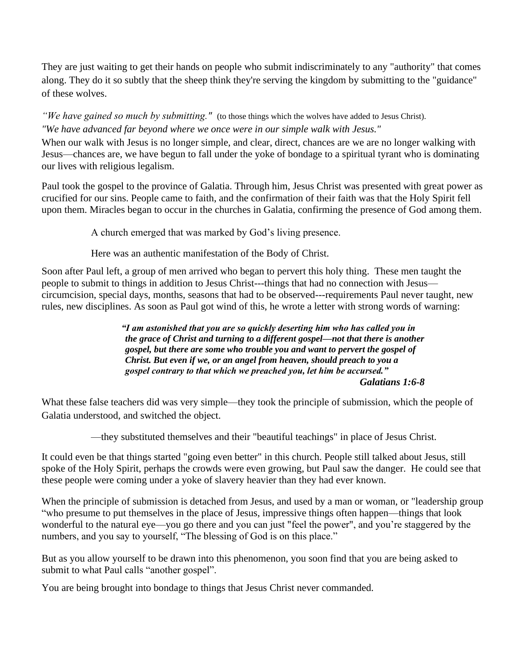They are just waiting to get their hands on people who submit indiscriminately to any "authority" that comes along. They do it so subtly that the sheep think they're serving the kingdom by submitting to the "guidance" of these wolves.

*"We have gained so much by submitting."* (to those things which the wolves have added to Jesus Christ). *"We have advanced far beyond where we once were in our simple walk with Jesus."*

When our walk with Jesus is no longer simple, and clear, direct, chances are we are no longer walking with Jesus—chances are, we have begun to fall under the yoke of bondage to a spiritual tyrant who is dominating our lives with religious legalism.

Paul took the gospel to the province of Galatia. Through him, Jesus Christ was presented with great power as crucified for our sins. People came to faith, and the confirmation of their faith was that the Holy Spirit fell upon them. Miracles began to occur in the churches in Galatia, confirming the presence of God among them.

A church emerged that was marked by God's living presence.

Here was an authentic manifestation of the Body of Christ.

Soon after Paul left, a group of men arrived who began to pervert this holy thing. These men taught the people to submit to things in addition to Jesus Christ---things that had no connection with Jesus circumcision, special days, months, seasons that had to be observed---requirements Paul never taught, new rules, new disciplines. As soon as Paul got wind of this, he wrote a letter with strong words of warning:

> *"I am astonished that you are so quickly deserting him who has called you in the grace of Christ and turning to a different gospel—not that there is another gospel, but there are some who trouble you and want to pervert the gospel of Christ. But even if we, or an angel from heaven, should preach to you a gospel contrary to that which we preached you, let him be accursed." Galatians 1:6-8*

What these false teachers did was very simple—they took the principle of submission, which the people of Galatia understood, and switched the object.

—they substituted themselves and their "beautiful teachings" in place of Jesus Christ.

It could even be that things started "going even better" in this church. People still talked about Jesus, still spoke of the Holy Spirit, perhaps the crowds were even growing, but Paul saw the danger. He could see that these people were coming under a yoke of slavery heavier than they had ever known.

When the principle of submission is detached from Jesus, and used by a man or woman, or "leadership group" "who presume to put themselves in the place of Jesus, impressive things often happen—things that look wonderful to the natural eye—you go there and you can just "feel the power", and you're staggered by the numbers, and you say to yourself, "The blessing of God is on this place."

But as you allow yourself to be drawn into this phenomenon, you soon find that you are being asked to submit to what Paul calls "another gospel".

You are being brought into bondage to things that Jesus Christ never commanded.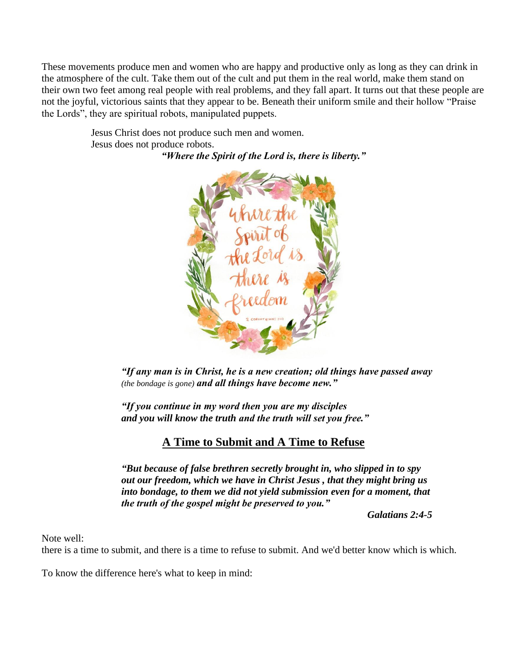These movements produce men and women who are happy and productive only as long as they can drink in the atmosphere of the cult. Take them out of the cult and put them in the real world, make them stand on their own two feet among real people with real problems, and they fall apart. It turns out that these people are not the joyful, victorious saints that they appear to be. Beneath their uniform smile and their hollow "Praise the Lords", they are spiritual robots, manipulated puppets.

> Jesus Christ does not produce such men and women. Jesus does not produce robots.

*"Where the Spirit of the Lord is, there is liberty."*



*"If any man is in Christ, he is a new creation; old things have passed away (the bondage is gone) and all things have become new."*

*"If you continue in my word then you are my disciples and you will know the truth and the truth will set you free."*

## **A Time to Submit and A Time to Refuse**

*"But because of false brethren secretly brought in, who slipped in to spy out our freedom, which we have in Christ Jesus , that they might bring us into bondage, to them we did not yield submission even for a moment, that the truth of the gospel might be preserved to you."*

*Galatians 2:4-5*

Note well:

there is a time to submit, and there is a time to refuse to submit. And we'd better know which is which.

To know the difference here's what to keep in mind: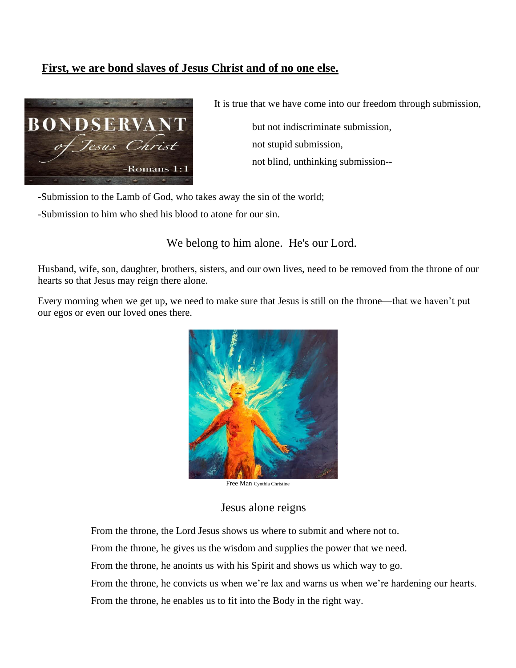### **First, we are bond slaves of Jesus Christ and of no one else.**



It is true that we have come into our freedom through submission,

 but not indiscriminate submission, not stupid submission, not blind, unthinking submission--

-Submission to the Lamb of God, who takes away the sin of the world;

-Submission to him who shed his blood to atone for our sin.

We belong to him alone. He's our Lord.

Husband, wife, son, daughter, brothers, sisters, and our own lives, need to be removed from the throne of our hearts so that Jesus may reign there alone.

Every morning when we get up, we need to make sure that Jesus is still on the throne—that we haven't put our egos or even our loved ones there.



Free Man Cynthia Christine

#### Jesus alone reigns

From the throne, the Lord Jesus shows us where to submit and where not to.

From the throne, he gives us the wisdom and supplies the power that we need.

From the throne, he anoints us with his Spirit and shows us which way to go.

From the throne, he convicts us when we're lax and warns us when we're hardening our hearts. From the throne, he enables us to fit into the Body in the right way.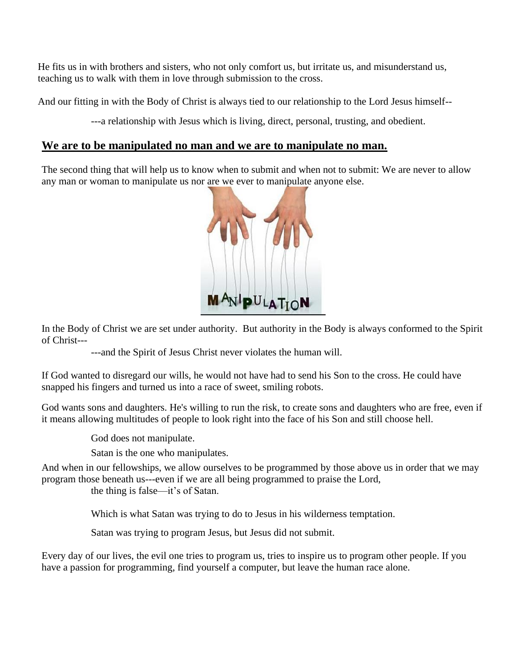He fits us in with brothers and sisters, who not only comfort us, but irritate us, and misunderstand us, teaching us to walk with them in love through submission to the cross.

And our fitting in with the Body of Christ is always tied to our relationship to the Lord Jesus himself--

---a relationship with Jesus which is living, direct, personal, trusting, and obedient.

#### **We are to be manipulated no man and we are to manipulate no man.**

The second thing that will help us to know when to submit and when not to submit: We are never to allow any man or woman to manipulate us nor are we ever to manipulate anyone else.



In the Body of Christ we are set under authority. But authority in the Body is always conformed to the Spirit of Christ---

---and the Spirit of Jesus Christ never violates the human will.

If God wanted to disregard our wills, he would not have had to send his Son to the cross. He could have snapped his fingers and turned us into a race of sweet, smiling robots.

God wants sons and daughters. He's willing to run the risk, to create sons and daughters who are free, even if it means allowing multitudes of people to look right into the face of his Son and still choose hell.

God does not manipulate.

Satan is the one who manipulates.

And when in our fellowships, we allow ourselves to be programmed by those above us in order that we may program those beneath us---even if we are all being programmed to praise the Lord,

the thing is false—it's of Satan.

Which is what Satan was trying to do to Jesus in his wilderness temptation.

Satan was trying to program Jesus, but Jesus did not submit.

Every day of our lives, the evil one tries to program us, tries to inspire us to program other people. If you have a passion for programming, find yourself a computer, but leave the human race alone.